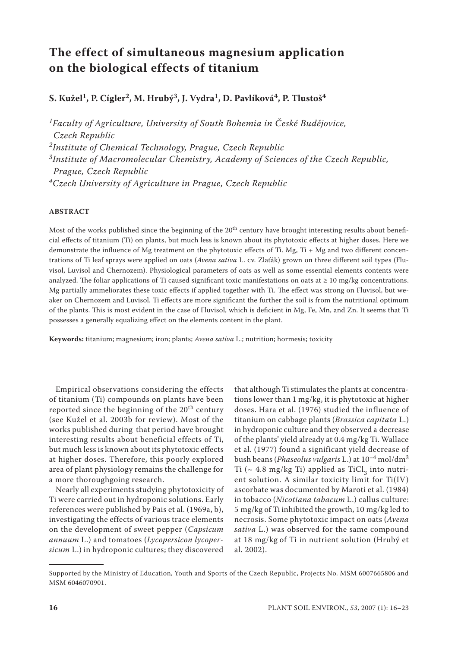# **The effect of simultaneous magnesium application on the biological effects of titanium**

# **S. Kužel1, P. Cígler2, M. Hrubý3, J. Vydra1, D. Pavlíková4, P. Tlustoš4**

*1Faculty of Agriculture, University of South Bohemia in České Budějovice, Czech Republic 2Institute of Chemical Technology, Prague, Czech Republic 3Institute of Macromolecular Chemistry, Academy of Sciences of the Czech Republic, Prague, Czech Republic 4Czech University of Agriculture in Prague, Czech Republic*

# **ABSTRACT**

Most of the works published since the beginning of the 20<sup>th</sup> century have brought interesting results about beneficial effects of titanium (Ti) on plants, but much less is known about its phytotoxic effects at higher doses. Here we demonstrate the influence of Mg treatment on the phytotoxic effects of Ti. Mg, Ti + Mg and two different concentrations of Ti leaf sprays were applied on oats (*Avena sativa* L. cv. Zlaťák) grown on three different soil types (Fluvisol, Luvisol and Chernozem). Physiological parameters of oats as well as some essential elements contents were analyzed. The foliar applications of Ti caused significant toxic manifestations on oats at  $\geq 10$  mg/kg concentrations. Mg partially ammeliorates these toxic effects if applied together with Ti. The effect was strong on Fluvisol, but weaker on Chernozem and Luvisol. Ti effects are more significant the further the soil is from the nutritional optimum of the plants. This is most evident in the case of Fluvisol, which is deficient in Mg, Fe, Mn, and Zn. It seems that Ti possesses a generally equalizing effect on the elements content in the plant.

**Keywords:** titanium; magnesium; iron; plants; *Avena sativa* L.; nutrition; hormesis; toxicity

Empirical observations considering the effects of titanium (Ti) compounds on plants have been reported since the beginning of the  $20<sup>th</sup>$  century (see Kužel et al. 2003b for review). Most of the works published during that period have brought interesting results about beneficial effects of Ti, but much less is known about its phytotoxic effects at higher doses. Therefore, this poorly explored area of plant physiology remains the challenge for a more thoroughgoing research.

Nearly all experiments studying phytotoxicity of Ti were carried out in hydroponic solutions. Early references were published by Pais et al. (1969a, b), investigating the effects of various trace elements on the development of sweet pepper (*Capsicum annuum* L.) and tomatoes (*Lycopersicon lycopersicum* L.) in hydroponic cultures; they discovered

that although Ti stimulates the plants at concentrations lower than 1 mg/kg, it is phytotoxic at higher doses. Hara et al. (1976) studied the influence of titanium on cabbage plants (*Brassica capitata* L.) in hydroponic culture and they observed a decrease of the plants' yield already at 0.4 mg/kg Ti. Wallace et al. (1977) found a significant yield decrease of bush beans (*Phaseolus vulgaris* L.) at 10–4 mol/dm3 Ti ( $\sim$  4.8 mg/kg Ti) applied as TiCl<sub>2</sub> into nutrient solution. A similar toxicity limit for Ti(IV) ascorbate was documented by Maroti et al. (1984) in tobacco (*Nicotiana tabacum* L.) callus culture: 5 mg/kg of Ti inhibited the growth, 10 mg/kg led to necrosis. Some phytotoxic impact on oats (*Avena sativa* L.) was observed for the same compound at 18 mg/kg of Ti in nutrient solution (Hrubý et al. 2002).

Supported by the Ministry of Education, Youth and Sports of the Czech Republic, Projects No. MSM 6007665806 and MSM 6046070901.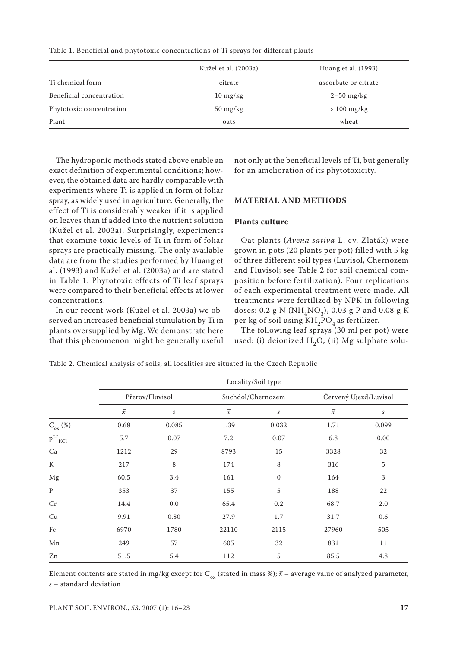|                          | Kužel et al. (2003a)             | Huang et al. (1993)  |
|--------------------------|----------------------------------|----------------------|
| Ti chemical form         | citrate                          | ascorbate or citrate |
| Beneficial concentration | $10 \frac{\text{mg}}{\text{kg}}$ | $2-50$ mg/kg         |
| Phytotoxic concentration | $50 \frac{\text{mg}}{\text{kg}}$ | $> 100$ mg/kg        |
| Plant                    | oats                             | wheat                |

Table 1. Beneficial and phytotoxic concentrations of Ti sprays for different plants

The hydroponic methods stated above enable an exact definition of experimental conditions; however, the obtained data are hardly comparable with experiments where Ti is applied in form of foliar spray, as widely used in agriculture. Generally, the effect of Ti is considerably weaker if it is applied on leaves than if added into the nutrient solution (Kužel et al. 2003a). Surprisingly, experiments that examine toxic levels of Ti in form of foliar sprays are practically missing. The only available data are from the studies performed by Huang et al. (1993) and Kužel et al. (2003a) and are stated in Table 1. Phytotoxic effects of Ti leaf sprays were compared to their beneficial effects at lower concentrations.

In our recent work (Kužel et al. 2003a) we observed an increased beneficial stimulation by Ti in plants oversupplied by Mg. We demonstrate here that this phenomenon might be generally useful not only at the beneficial levels of Ti, but generally for an amelioration of its phytotoxicity.

#### **MATERIAL AND METHODS**

#### **Plants culture**

Oat plants (*Avena sativa* L. cv. Zlaťák) were grown in pots (20 plants per pot) filled with 5 kg of three different soil types (Luvisol, Chernozem and Fluvisol; see Table 2 for soil chemical composition before fertilization). Four replications of each experimental treatment were made. All treatments were fertilized by NPK in following doses: 0.2 g N (NH<sub>4</sub>NO<sub>3</sub>), 0.03 g P and 0.08 g K per kg of soil using  $KH<sub>2</sub>PO<sub>4</sub>$  as fertilizer.

The following leaf sprays (30 ml per pot) were used: (i) deionized  $H_2O$ ; (ii) Mg sulphate solu-

|                    |                          |                  | Locality/Soil type       |                  |                          |                  |
|--------------------|--------------------------|------------------|--------------------------|------------------|--------------------------|------------------|
|                    |                          | Přerov/Fluvisol  | Suchdol/Chernozem        |                  | Červený Újezd/Luvisol    |                  |
|                    | $\overline{\mathcal{X}}$ | $\boldsymbol{S}$ | $\overline{\mathcal{X}}$ | $\boldsymbol{S}$ | $\overline{\mathcal{X}}$ | $\boldsymbol{S}$ |
| $C_{ox}(\%)$       | 0.68                     | 0.085            | 1.39                     | 0.032            | 1.71                     | 0.099            |
| $\rm pH_{\rm KCl}$ | 5.7                      | 0.07             | 7.2                      | 0.07             | 6.8                      | 0.00             |
| Ca                 | 1212                     | 29               | 8793                     | 15               | 3328                     | 32               |
| ${\bf K}$          | 217                      | $\,8\,$          | 174                      | 8                | 316                      | $\sqrt{5}$       |
| Mg                 | 60.5                     | 3.4              | 161                      | $\mathbf{0}$     | 164                      | 3                |
| ${\bf P}$          | 353                      | 37               | 155                      | 5                | 188                      | 22               |
| Cr                 | 14.4                     | 0.0              | 65.4                     | 0.2              | 68.7                     | 2.0              |
| Cu                 | 9.91                     | 0.80             | 27.9                     | 1.7              | 31.7                     | 0.6              |
| Fe                 | 6970                     | 1780             | 22110                    | 2115             | 27960                    | 505              |
| Mn                 | 249                      | 57               | 605                      | 32               | 831                      | 11               |
| Zn                 | 51.5                     | 5.4              | 112                      | 5                | 85.5                     | $4.8\,$          |

Table 2. Chemical analysis of soils; all localities are situated in the Czech Republic

Element contents are stated in mg/kg except for C<sub>ox</sub> (stated in mass %);  $\bar{x}$  – average value of analyzed parameter, *s* – standard deviation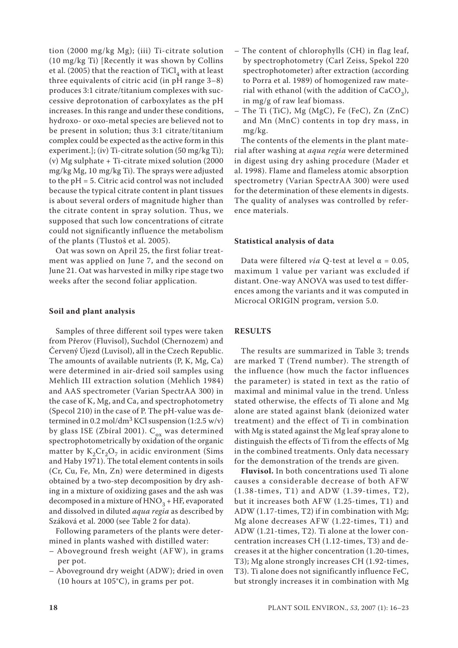tion (2000 mg/kg Mg); (iii) Ti-citrate solution (10 mg/kg Ti) [Recently it was shown by Collins et al. (2005) that the reaction of  $\mathrm{TiCl}_{4}$  with at least three equivalents of citric acid (in pH range 3–8) produces 3:1 citrate/titanium complexes with successive deprotonation of carboxylates as the pH increases. In this range and under these conditions, hydroxo- or oxo-metal species are believed not to be present in solution; thus 3:1 citrate/titanium complex could be expected as the active form in this experiment.]; (iv) Ti-citrate solution (50 mg/kg Ti); (v) Mg sulphate + Ti-citrate mixed solution (2000 mg/kg Mg, 10 mg/kg Ti). The sprays were adjusted to the pH = 5. Citric acid control was not included because the typical citrate content in plant tissues is about several orders of magnitude higher than the citrate content in spray solution. Thus, we supposed that such low concentrations of citrate could not significantly influence the metabolism of the plants (Tlustoš et al. 2005).

Oat was sown on April 25, the first foliar treatment was applied on June 7, and the second on June 21. Oat was harvested in milky ripe stage two weeks after the second foliar application.

### **Soil and plant analysis**

Samples of three different soil types were taken from Přerov (Fluvisol), Suchdol (Chernozem) and Červený Újezd (Luvisol), all in the Czech Republic. The amounts of available nutrients (P, K, Mg, Ca) were determined in air-dried soil samples using Mehlich III extraction solution (Mehlich 1984) and AAS spectrometer (Varian SpectrAA 300) in the case of K, Mg, and Ca, and spectrophotometry (Specol 210) in the case of P. The pH-value was determined in 0.2 mol/dm<sup>3</sup> KCl suspension  $(1:2.5 \text{ w/v})$ by glass ISE (Zbíral 2001).  $C_{ox}$  was determined spectrophotometrically by oxidation of the organic matter by  $K_2Cr_2O_7$  in acidic environment (Sims and Haby 1971). The total element contents in soils (Cr, Cu, Fe, Mn, Zn) were determined in digests obtained by a two-step decomposition by dry ashing in a mixture of oxidizing gases and the ash was decomposed in a mixture of  $HNO<sub>3</sub> + HF$ , evaporated and dissolved in diluted *aqua regia* as described by Száková et al. 2000 (see Table 2 for data).

Following parameters of the plants were determined in plants washed with distilled water:

- Aboveground fresh weight (AFW), in grams per pot.
- Aboveground dry weight (ADW); dried in oven (10 hours at 105°C), in grams per pot.
- The content of chlorophylls (CH) in flag leaf, by spectrophotometry (Carl Zeiss, Spekol 220 spectrophotometer) after extraction (according to Porra et al. 1989) of homogenized raw material with ethanol (with the addition of  $CaCO<sub>3</sub>$ ), in mg/g of raw leaf biomass.
- The Ti (TiC), Mg (MgC), Fe (FeC), Zn (ZnC) and Mn (MnC) contents in top dry mass, in mg/kg.

The contents of the elements in the plant material after washing at *aqua regia* were determined in digest using dry ashing procedure (Mader et al. 1998). Flame and flameless atomic absorption spectrometry (Varian SpectrAA 300) were used for the determination of these elements in digests. The quality of analyses was controlled by reference materials.

# **Statistical analysis of data**

Data were filtered *via* Q-test at level  $α = 0.05$ , maximum 1 value per variant was excluded if distant. One-way ANOVA was used to test differences among the variants and it was computed in Microcal ORIGIN program, version 5.0.

# **RESULTS**

The results are summarized in Table 3; trends are marked T (Trend number). The strength of the influence (how much the factor influences the parameter) is stated in text as the ratio of maximal and minimal value in the trend. Unless stated otherwise, the effects of Ti alone and Mg alone are stated against blank (deionized water treatment) and the effect of Ti in combination with Mg is stated against the Mg leaf spray alone to distinguish the effects of Ti from the effects of Mg in the combined treatments. Only data necessary for the demonstration of the trends are given.

**Fluvisol.** In both concentrations used Ti alone causes a considerable decrease of both AFW (1.38-times, T1) and ADW (1.39-times, T2), but it increases both AFW (1.25-times, T1) and ADW (1.17-times, T2) if in combination with Mg; Mg alone decreases AFW (1.22-times, T1) and ADW (1.21-times, T2). Ti alone at the lower concentration increases CH (1.12-times, T3) and decreases it at the higher concentration (1.20-times, T3); Mg alone strongly increases CH (1.92-times, T3). Ti alone does not significantly influence FeC, but strongly increases it in combination with Mg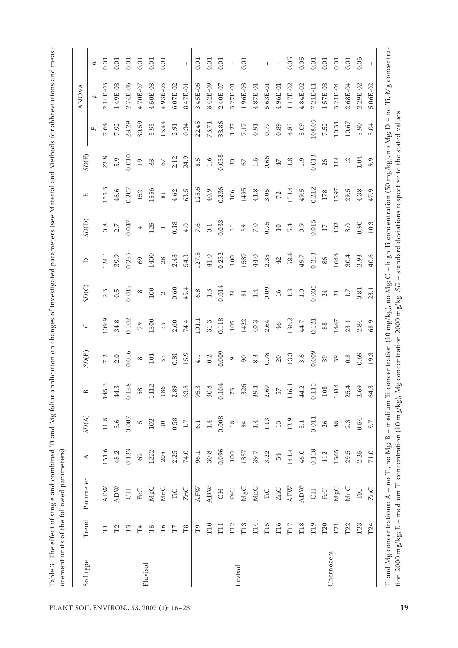Table 3. The effect of single and combined Ti and Mg foliar application on changes of investigated parameters (see Material and Methods for abbreviations and meas-Table 3. The effect of single and combined Ti and Mg foliar application on changes of investigated parameters (see Material and Methods for abbreviations and meas- $+$ urement units of the followed parameters)  $\frac{1}{2}$  $\frac{1}{2}$   $\frac{1}{2}$   $\frac{1}{2}$   $\frac{1}{2}$   $\frac{1}{2}$   $\frac{1}{2}$   $\frac{1}{2}$ 

| Soil type | Trend           | Parameter       | ≺      | $SD(A)$   | ⋍                           | SD(B)    | $\cup$ | SD(C)            | $\Box$ | SD(D)                    | Щ                          | SD(E)           |           | <b>ANOVA</b> |                                                                                                                                                                                                                                                                                                                                                                                  |
|-----------|-----------------|-----------------|--------|-----------|-----------------------------|----------|--------|------------------|--------|--------------------------|----------------------------|-----------------|-----------|--------------|----------------------------------------------------------------------------------------------------------------------------------------------------------------------------------------------------------------------------------------------------------------------------------------------------------------------------------------------------------------------------------|
|           |                 |                 |        |           |                             |          |        |                  |        |                          |                            |                 | ц         | p            | α                                                                                                                                                                                                                                                                                                                                                                                |
|           | $\Gamma$        | AFW             | 151.6  | 11.8      | 145.3                       | 7.2      | 109.9  | 2.3              | 124.1  | 0.8                      | 155.3                      | 22.8            | 7.64      | 2.14E-03     | 0.01                                                                                                                                                                                                                                                                                                                                                                             |
|           | $\Gamma$        | <b>ADW</b>      | 48.2   | 3.6       | 44.3                        | 2.0      | 34.8   | 0.5              | 39.9   | 2.7                      | 46.6                       | 5.9             | 7.92      | 1.49E-03     | 0.01                                                                                                                                                                                                                                                                                                                                                                             |
|           | $\Gamma$ 3      | <b>ED</b>       | 0.123  | $0.007\,$ | 0.138                       | 0.016    | 0.102  | 0.012            | 0.235  | 0.047                    | 0.207                      | 0.010           | 23.29     | 2.74E-06     | 0.01                                                                                                                                                                                                                                                                                                                                                                             |
| Fluvisol  | $\Gamma4$       | $\rm FeC$       | 62     | 15        | 58                          | $\infty$ | 79     | $18\,$           | 69     | 4                        | 152                        | $\overline{19}$ | 30.59     | 4.70E-07     | 0.01                                                                                                                                                                                                                                                                                                                                                                             |
|           | Г5              | ${ {\rm MgC} }$ | 1222   | 102       | 1412                        | 104      | 1300   | 100              | 1400   | 125                      | 1556                       | 83              | 5.95      | 4.50E-03     | 0.01                                                                                                                                                                                                                                                                                                                                                                             |
|           | $\mathbb{T}^6$  | MnC             | 208    | $30\,$    | 186                         | 53       | 35     | $\mathrel{\sim}$ | 28     | $\overline{\phantom{0}}$ | $\overline{\phantom{0}}81$ | 67              | 15.44     | 4.93E-05     | 0.01                                                                                                                                                                                                                                                                                                                                                                             |
|           | $\Gamma$        | TiC             | 2.25   | 0.58      | 2.89                        | 0.81     | 2.60   | 0.60             | 2.48   | 0.18                     | 4.62                       | 2.12            | 2.91      | $6.07E-02$   | $\overline{\phantom{a}}$                                                                                                                                                                                                                                                                                                                                                         |
|           | $\Gamma 8$      | ZnC             | $74.0$ | $1.7\,$   | 63.8                        | 15.9     | $74.4$ | 45.4             | 54.3   | 4.0                      | 63.5                       | 24.9            | 0.34      | 8.47E-01     |                                                                                                                                                                                                                                                                                                                                                                                  |
|           | $\Gamma$        | AFW             | 96.1   | 6.1       | 95.3                        | 4.1      | 101.1  | 6.8              | 127.5  | 7.6                      | 125.6                      | 8.5             | 22.45     | 3.45E-06     | 0.01                                                                                                                                                                                                                                                                                                                                                                             |
|           | $\Gamma10$      | <b>ADW</b>      | 30.8   | $1.4\,$   | 30.8                        | 0.2      | 31.3   | $1.3\,$          | 41.0   | 0.1                      | 40.9                       | $1.6\,$         | 73.71     | 8.42E-09     | 0.01                                                                                                                                                                                                                                                                                                                                                                             |
|           | $\overline{11}$ | <b>EH</b>       | 0.096  | 0.008     | 0.104                       | 0.009    | 0.118  | 0.014            | 0.232  | 0.033                    | 0.236                      | 0.038           | 33.86     | 2.40E-07     | 0.01                                                                                                                                                                                                                                                                                                                                                                             |
|           | T12             | $\mbox{FeC}$    | 100    | $18\,$    | $73$                        | $\circ$  | 105    | 24               | 100    | $\overline{31}$          | 106                        | $30\,$          | 1.27      | 3.27E-01     | $\sf I$                                                                                                                                                                                                                                                                                                                                                                          |
| Luvisol   | $\Gamma13$      | ${ {\rm MgC} }$ | 1357   | 94        | 1326                        | $\infty$ | 1422   | 81               | 1587   | 59                       | 1495                       | $67\,$          | 7.17      | 1.96E-03     | 0.01                                                                                                                                                                                                                                                                                                                                                                             |
|           | $\Gamma14$      | MnC             | 39.7   | $1.4\,$   | 39.4                        | 8.3      | $40.3$ | 1.4              | 44.0   | 7.0                      | $44.8$                     | 1.5             | 0.91      | 4.87E-01     | $\begin{array}{c} \rule{0pt}{2.5ex} \rule{0pt}{2.5ex} \rule{0pt}{2.5ex} \rule{0pt}{2.5ex} \rule{0pt}{2.5ex} \rule{0pt}{2.5ex} \rule{0pt}{2.5ex} \rule{0pt}{2.5ex} \rule{0pt}{2.5ex} \rule{0pt}{2.5ex} \rule{0pt}{2.5ex} \rule{0pt}{2.5ex} \rule{0pt}{2.5ex} \rule{0pt}{2.5ex} \rule{0pt}{2.5ex} \rule{0pt}{2.5ex} \rule{0pt}{2.5ex} \rule{0pt}{2.5ex} \rule{0pt}{2.5ex} \rule{0$ |
|           | $T15$           | ТiС             | 3.22   | 1.13      | 2.69                        | 0.78     | 2.64   | 0.09             | 2.35   | 0.75                     | 3.05                       | 0.66            | 0.77      | 5.63E-01     | T                                                                                                                                                                                                                                                                                                                                                                                |
|           | T16             | ZnC             | 54     | $13$      | 57                          | $20\,$   | $46$   | 16               | $42$   | $10$                     | $72$                       | $47\,$          | 0.89      | 4.96E-01     | $\overline{1}$                                                                                                                                                                                                                                                                                                                                                                   |
|           | T <sub>17</sub> | AFW             | 141.4  | 12.9      | 136.1                       | 13.3     | 136.2  | 1.3              | 158.6  | 5.4                      | 153.4                      | 3.8             | 4.83      | 1.17E-02     | 0.05                                                                                                                                                                                                                                                                                                                                                                             |
|           | $\Gamma18$      | <b>ADW</b>      | 46.0   | 5.1       | 44.2                        | 3.6      | 44.7   | $1.0\,$          | 49.7   | 0.9                      | 49.5                       | 1.9             | 3.09      | 4.84E-02     | 0.05                                                                                                                                                                                                                                                                                                                                                                             |
|           | T <sub>19</sub> | <b>CH</b>       | 0.118  | 0.011     | 0.115                       | 0.009    | 0.121  | 0.005            | 0.233  | 0.015                    | 0.212                      | 0.013           | 108.05    | $7.21E-11$   | 0.01                                                                                                                                                                                                                                                                                                                                                                             |
| Chernozem | T <sub>20</sub> | $\mbox{FeC}$    | 112    | 26        | $\infty$<br>$\overline{10}$ | 39       | 88     | 24               | $86\,$ | $\Gamma$                 | 178                        | 26              | 7.52      | 1.57E-03     | 0.01                                                                                                                                                                                                                                                                                                                                                                             |
|           | T21             | MgC             | 1365   | $48$      | 1414                        | 39       | 1467   | 21               | 1644   | 102                      | 1597                       | 114             | 10.31     | 3.21E-04     | 0.01                                                                                                                                                                                                                                                                                                                                                                             |
|           | T <sub>22</sub> | MnC             | 29.5   | 2.3       | 25.4                        | 0.8      | 23.1   | $\overline{1.7}$ | 30.4   | 3.0                      | 29.5                       | 1.2             | $10.67\,$ | 2.68E-04     | 0.01                                                                                                                                                                                                                                                                                                                                                                             |
|           | T23             | ТiС             | 2.25   | 0.54      | 2.69                        | 0.69     | 2.84   | 0.81             | 2.93   | 0.90                     | 4.38                       | 1.04            | 3.90      | 2.29E-02     | 0.05                                                                                                                                                                                                                                                                                                                                                                             |
|           | T24             | $_{\rm ZnC}$    | 71.0   | 9.7       | 64.3                        | 19.3     | 68.9   | 23.1             | 40.6   | 10.3                     | 47.9                       | 9.9             | 3.04      | 5.06E-02     | $\mathbf{I}$                                                                                                                                                                                                                                                                                                                                                                     |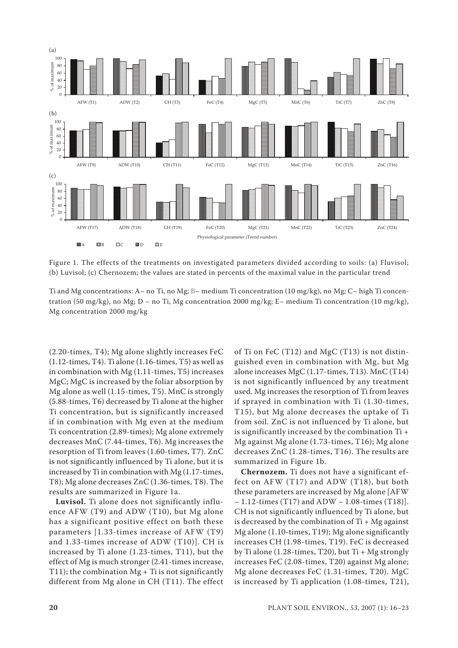

Figure 1. The effects of the treatments on investigated parameters divided according to soils: (a) Fluvisol; (b) Luvisol; (c) Chernozem; the values are stated in percents of the maximal value in the particular trend

Ti and Mg concentrations: A– no Ti, no Mg; B– medium Ti concentration (10 mg/kg), no Mg; C– high Ti concentration (50 mg/kg), no Mg; D – no Ti, Mg concentration 2000 mg/kg; E– medium Ti concentration (10 mg/kg), Mg concentration 2000 mg/kg

(2.20-times, T4); Mg alone slightly increases FeC  $(1.12 \text{-times}, T4)$ . Ti alone  $(1.16 \text{-times}, T5)$  as well as in combination with Mg (1.11-times, T5) increases MgC; MgC is increased by the foliar absorption by Mg alone as well (1.15-times, T5). MnC is strongly (5.88-times, T6) decreased by Ti alone at the higher Ti concentration, but is significantly increased if in combination with Mg even at the medium Ti concentration (2.89-times); Mg alone extremely decreases MnC (7.44-times, T6). Mg increases the resorption of Ti from leaves (1.60-times, T7). ZnC is not significantly influenced by Ti alone, but it is increased by Ti in combination with Mg (1.17-times, T8); Mg alone decreases ZnC (1.36-times, T8). The results are summarized in Figure 1a.

**Luvisol.** Ti alone does not significantly influence AFW (T9) and ADW (T10), but Mg alone has a significant positive effect on both these parameters [1.33-times increase of AFW (T9) and 1.33-times increase of ADW (T10)]. CH is increased by Ti alone (1.23-times, T11), but the effect of Mg is much stronger (2.41-times increase, T11); the combination  $Mg + Ti$  is not significantly different from Mg alone in CH (T11). The effect of Ti on FeC (T12) and MgC (T13) is not distinguished even in combination with Mg, but Mg alone increases MgC (1.17-times, T13). MnC (T14) is not significantly influenced by any treatment used. Mg increases the resorption of Ti from leaves if sprayed in combination with Ti (1.30-times, T15), but Mg alone decreases the uptake of Ti from soil. ZnC is not influenced by Ti alone, but is significantly increased by the combination Ti + Mg against Mg alone (1.73-times, T16); Mg alone decreases ZnC (1.28-times, T16). The results are summarized in Figure 1b.

**Chernozem.** Ti does not have a significant effect on AFW (T17) and ADW (T18), but both these parameters are increased by Mg alone [AFW – 1.12-times (T17) and ADW – 1.08-times (T18)]. CH is not significantly influenced by Ti alone, but is decreased by the combination of  $Ti + Mg$  against Mg alone (1.10-times, T19); Mg alone significantly increases CH (1.98-times, T19). FeC is decreased by Ti alone (1.28-times, T20), but  $Ti + Mg$  strongly increases FeC (2.08-times, T20) against Mg alone; Mg alone decreases FeC (1.31-times, T20). MgC is increased by Ti application (1.08-times, T21),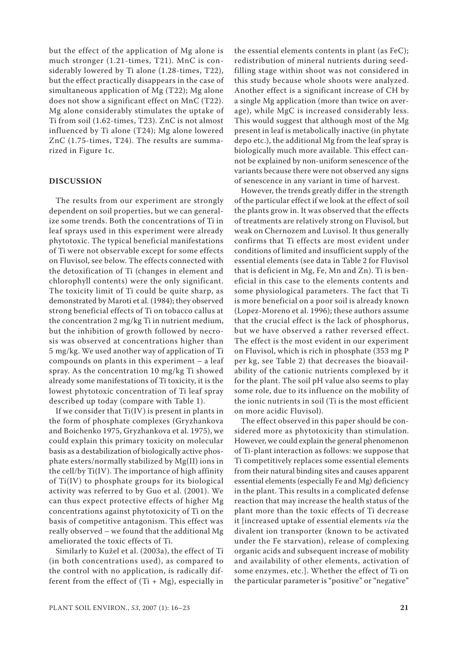but the effect of the application of Mg alone is much stronger (1.21-times, T21). MnC is considerably lowered by Ti alone (1.28-times, T22), but the effect practically disappears in the case of simultaneous application of Mg (T22); Mg alone does not show a significant effect on MnC (T22). Mg alone considerably stimulates the uptake of Ti from soil (1.62-times, T23). ZnC is not almost influenced by Ti alone (T24); Mg alone lowered ZnC (1.75-times, T24). The results are summarized in Figure 1c.

#### **DISCUSSION**

The results from our experiment are strongly dependent on soil properties, but we can generalize some trends. Both the concentrations of Ti in leaf sprays used in this experiment were already phytotoxic. The typical beneficial manifestations of Ti were not observable except for some effects on Fluvisol, see below. The effects connected with the detoxification of Ti (changes in element and chlorophyll contents) were the only significant. The toxicity limit of Ti could be quite sharp, as demonstrated by Maroti et al. (1984); they observed strong beneficial effects of Ti on tobacco callus at the concentration 2 mg/kg Ti in nutrient medium, but the inhibition of growth followed by necrosis was observed at concentrations higher than 5 mg/kg. We used another way of application of Ti compounds on plants in this experiment – a leaf spray. As the concentration 10 mg/kg Ti showed already some manifestations of Ti toxicity, it is the lowest phytotoxic concentration of Ti leaf spray described up today (compare with Table 1).

If we consider that  $Ti(IV)$  is present in plants in the form of phosphate complexes (Gryzhankova and Boichenko 1975, Gryzhankova et al. 1975), we could explain this primary toxicity on molecular basis as a destabilization of biologically active phosphate esters/normally stabilized by Mg(II) ions in the cell/by Ti(IV). The importance of high affinity of Ti(IV) to phosphate groups for its biological activity was referred to by Guo et al. (2001). We can thus expect protective effects of higher Mg concentrations against phytotoxicity of Ti on the basis of competitive antagonism. This effect was really observed – we found that the additional Mg ameliorated the toxic effects of Ti.

Similarly to Kužel et al. (2003a), the effect of Ti (in both concentrations used), as compared to the control with no application, is radically different from the effect of  $(T<sub>i</sub> + Mg)$ , especially in the essential elements contents in plant (as FeC); redistribution of mineral nutrients during seedfilling stage within shoot was not considered in this study because whole shoots were analyzed. Another effect is a significant increase of CH by a single Mg application (more than twice on average), while MgC is increased considerably less. This would suggest that although most of the Mg present in leaf is metabolically inactive (in phytate depo etc.), the additional Mg from the leaf spray is biologically much more available. This effect cannot be explained by non-uniform senescence of the variants because there were not observed any signs of senescence in any variant in time of harvest.

However, the trends greatly differ in the strength of the particular effect if we look at the effect of soil the plants grow in. It was observed that the effects of treatments are relatively strong on Fluvisol, but weak on Chernozem and Luvisol. It thus generally confirms that Ti effects are most evident under conditions of limited and insufficient supply of the essential elements (see data in Table 2 for Fluvisol that is deficient in Mg, Fe, Mn and Zn). Ti is beneficial in this case to the elements contents and some physiological parameters. The fact that Ti is more beneficial on a poor soil is already known (Lopez*-*Moreno et al. 1996); these authors assume that the crucial effect is the lack of phosphorus, but we have observed a rather reversed effect. The effect is the most evident in our experiment on Fluvisol, which is rich in phosphate (353 mg P per kg, see Table 2) that decreases the bioavailability of the cationic nutrients complexed by it for the plant. The soil pH value also seems to play some role, due to its influence on the mobility of the ionic nutrients in soil (Ti is the most efficient on more acidic Fluvisol).

The effect observed in this paper should be considered more as phytotoxicity than stimulation. However, we could explain the general phenomenon of Ti-plant interaction as follows: we suppose that Ti competitively replaces some essential elements from their natural binding sites and causes apparent essential elements (especially Fe and Mg) deficiency in the plant. This results in a complicated defense reaction that may increase the health status of the plant more than the toxic effects of Ti decrease it [increased uptake of essential elements *via* the divalent ion transporter (known to be activated under the Fe starvation), release of complexing organic acids and subsequent increase of mobility and availability of other elements, activation of some enzymes, etc.]. Whether the effect of Ti on the particular parameter is "positive" or "negative"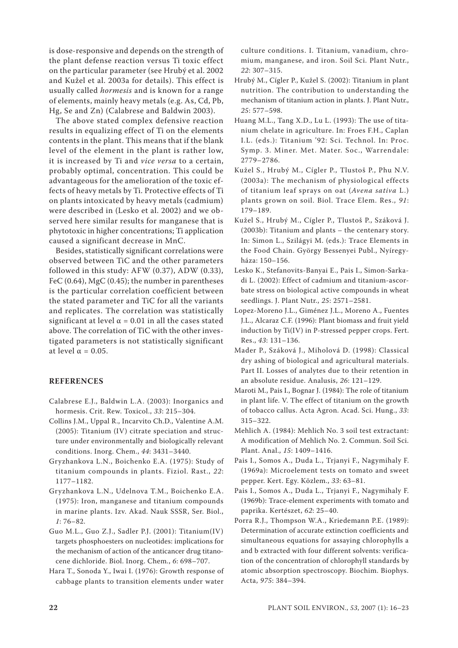is dose-responsive and depends on the strength of the plant defense reaction versus Ti toxic effect on the particular parameter (see Hrubý et al. 2002 and Kužel et al. 2003a for details). This effect is usually called *hormesis* and is known for a range of elements, mainly heavy metals (e.g. As, Cd, Pb, Hg, Se and Zn) (Calabrese and Baldwin 2003).

The above stated complex defensive reaction results in equalizing effect of Ti on the elements contents in the plant. This means that if the blank level of the element in the plant is rather low, it is increased by Ti and *vice versa* to a certain, probably optimal, concentration. This could be advantageous for the amelioration of the toxic effects of heavy metals by Ti. Protective effects of Ti on plants intoxicated by heavy metals (cadmium) were described in (Lesko et al. 2002) and we observed here similar results for manganese that is phytotoxic in higher concentrations; Ti application caused a significant decrease in MnC.

Besides, statistically significant correlations were observed between TiC and the other parameters followed in this study: AFW (0.37), ADW (0.33), FeC (0.64), MgC (0.45); the number in parentheses is the particular correlation coefficient between the stated parameter and TiC for all the variants and replicates. The correlation was statistically significant at level  $\alpha$  = 0.01 in all the cases stated above. The correlation of TiC with the other investigated parameters is not statistically significant at level  $\alpha$  = 0.05.

### **REFERENCES**

- Calabrese E.J., Baldwin L.A. (2003): Inorganics and hormesis. Crit. Rew. Toxicol., *33*: 215–304.
- Collins J.M., Uppal R., Incarvito Ch.D., Valentine A.M. (2005): Titanium (IV) citrate speciation and structure under environmentally and biologically relevant conditions. Inorg. Chem., *44*: 3431–3440.
- Gryzhankova L.N., Boichenko E.A. (1975): Study of titanium compounds in plants. Fiziol. Rast., *22*: 1177–1182.
- Gryzhankova L.N., Udelnova T.M., Boichenko E.A. (1975): Iron, manganese and titanium compounds in marine plants. Izv. Akad. Nauk SSSR, Ser. Biol., *1*: 76–82.
- Guo M.L., Guo Z.J., Sadler P.J. (2001): Titanium(IV) targets phosphoesters on nucleotides: implications for the mechanism of action of the anticancer drug titanocene dichloride. Biol. Inorg. Chem., *6*: 698–707.
- Hara T., Sonoda Y., Iwai I. (1976): Growth response of cabbage plants to transition elements under water

culture conditions. I. Titanium, vanadium, chromium, manganese, and iron. Soil Sci. Plant Nutr., *22*: 307–315.

- Hrubý M., Cígler P., Kužel S. (2002): Titanium in plant nutrition. The contribution to understanding the mechanism of titanium action in plants. J. Plant Nutr., *25*: 577–598.
- Huang M.L., Tang X.D., Lu L. (1993): The use of titanium chelate in agriculture. In: Froes F.H., Caplan I.L. (eds.): Titanium '92: Sci. Technol. In: Proc. Symp. 3. Miner. Met. Mater. Soc., Warrendale: 2779–2786.
- Kužel S., Hrubý M., Cígler P., Tlustoš P., Phu N.V. (2003a): The mechanism of physiological effects of titanium leaf sprays on oat (*Avena sativa* L.) plants grown on soil. Biol. Trace Elem. Res., *91*: 179–189.
- Kužel S., Hrubý M., Cígler P., Tlustoš P., Száková J. (2003b): Titanium and plants – the centenary story. In: Simon L., Szilágyi M. (eds.): Trace Elements in the Food Chain. György Bessenyei Publ., Nyíregyháza: 150–156.
- Lesko K., Stefanovits-Banyai E., Pais I., Simon-Sarkadi L. (2002): Effect of cadmium and titanium-ascorbate stress on biological active compounds in wheat seedlings. J. Plant Nutr., *25*: 2571–2581.
- Lopez-Moreno J.L., Giménez J.L., Moreno A., Fuentes J.L., Alcaraz C.F. (1996): Plant biomass and fruit yield induction by Ti(IV) in P-stressed pepper crops. Fert. Res., *43*: 131–136.
- Mader P., Száková J., Miholová D. (1998): Classical dry ashing of biological and agricultural materials. Part II. Losses of analytes due to their retention in an absolute residue. Analusis, *26*: 121–129.
- Maroti M., Pais I., Bognar J. (1984): The role of titanium in plant life. V. The effect of titanium on the growth of tobacco callus. Acta Agron. Acad. Sci. Hung., *33*: 315–322.
- Mehlich A. (1984): Mehlich No. 3 soil test extractant: A modification of Mehlich No. 2. Commun. Soil Sci. Plant. Anal., *15*: 1409–1416.
- Pais I., Somos A., Duda L., Trjanyi F., Nagymihaly F. (1969a): Microelement tests on tomato and sweet pepper. Kert. Egy. Közlem., *33*: 63–81.
- Pais I., Somos A., Duda L., Trjanyi F., Nagymihaly F. (1969b): Trace-element experiments with tomato and paprika. Kertészet, *62*: 25–40.
- Porra R.J., Thompson W.A., Kriedemann P.E. (1989): Determination of accurate extinction coefficients and simultaneous equations for assaying chlorophylls a and b extracted with four different solvents: verification of the concentration of chlorophyll standards by atomic absorption spectroscopy. Biochim. Biophys. Acta, *975*: 384–394.